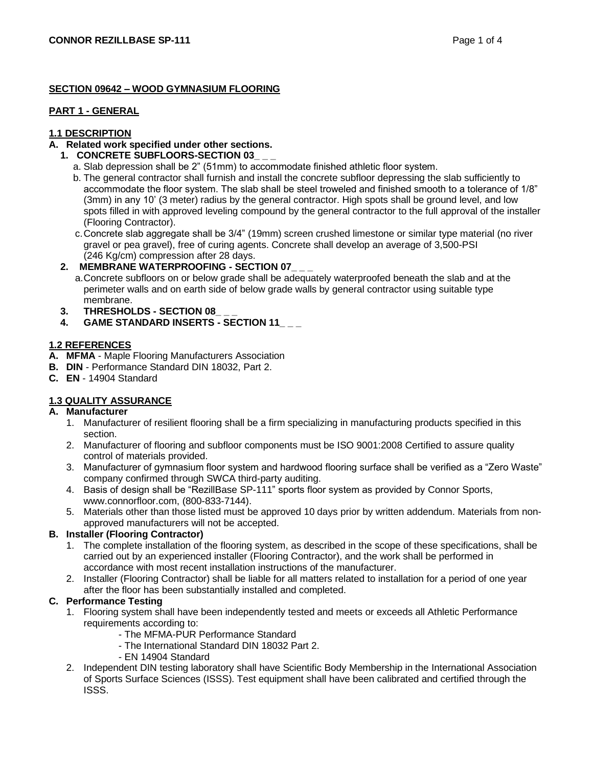## **SECTION 09642 – WOOD GYMNASIUM FLOORING**

#### **PART 1 - GENERAL**

# **1.1 DESCRIPTION**

# **A. Related work specified under other sections.**

# **1. CONCRETE SUBFLOORS-SECTION 03\_ \_ \_**

- a. Slab depression shall be 2" (51mm) to accommodate finished athletic floor system.
- b. The general contractor shall furnish and install the concrete subfloor depressing the slab sufficiently to accommodate the floor system. The slab shall be steel troweled and finished smooth to a tolerance of 1/8" (3mm) in any 10' (3 meter) radius by the general contractor. High spots shall be ground level, and low spots filled in with approved leveling compound by the general contractor to the full approval of the installer (Flooring Contractor).
- c.Concrete slab aggregate shall be 3/4" (19mm) screen crushed limestone or similar type material (no river gravel or pea gravel), free of curing agents. Concrete shall develop an average of 3,500-PSI (246 Kg/cm) compression after 28 days.

## **2. MEMBRANE WATERPROOFING - SECTION 07\_ \_ \_**

a.Concrete subfloors on or below grade shall be adequately waterproofed beneath the slab and at the perimeter walls and on earth side of below grade walls by general contractor using suitable type membrane.

- **3. THRESHOLDS - SECTION 08\_ \_ \_**
- **4. GAME STANDARD INSERTS - SECTION 11\_ \_ \_**

## **1.2 REFERENCES**

- **A. MFMA** Maple Flooring Manufacturers Association
- **B. DIN** Performance Standard DIN 18032, Part 2.
- **C. EN**  14904 Standard

# **1.3 QUALITY ASSURANCE**

## **A. Manufacturer**

- 1. Manufacturer of resilient flooring shall be a firm specializing in manufacturing products specified in this section.
- 2. Manufacturer of flooring and subfloor components must be ISO 9001:2008 Certified to assure quality control of materials provided.
- 3. Manufacturer of gymnasium floor system and hardwood flooring surface shall be verified as a "Zero Waste" company confirmed through SWCA third-party auditing.
- 4. Basis of design shall be "RezillBase SP-111" sports floor system as provided by Connor Sports, www.connorfloor.com, (800-833-7144).
- 5. Materials other than those listed must be approved 10 days prior by written addendum. Materials from nonapproved manufacturers will not be accepted.

## **B. Installer (Flooring Contractor)**

- 1. The complete installation of the flooring system, as described in the scope of these specifications, shall be carried out by an experienced installer (Flooring Contractor), and the work shall be performed in accordance with most recent installation instructions of the manufacturer.
- 2. Installer (Flooring Contractor) shall be liable for all matters related to installation for a period of one year after the floor has been substantially installed and completed.

## **C. Performance Testing**

- 1. Flooring system shall have been independently tested and meets or exceeds all Athletic Performance requirements according to:
	- The MFMA-PUR Performance Standard
	- The International Standard DIN 18032 Part 2.
	- EN 14904 Standard
- 2. Independent DIN testing laboratory shall have Scientific Body Membership in the International Association of Sports Surface Sciences (ISSS). Test equipment shall have been calibrated and certified through the ISSS.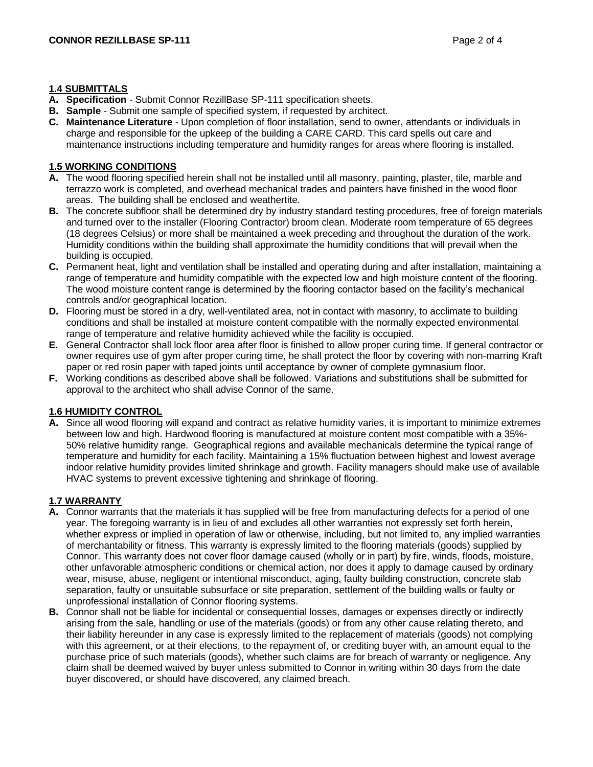#### **1.4 SUBMITTALS**

- **A. Specification**  Submit Connor RezillBase SP-111 specification sheets.
- **B. Sample**  Submit one sample of specified system, if requested by architect.
- **C. Maintenance Literature**  Upon completion of floor installation, send to owner, attendants or individuals in charge and responsible for the upkeep of the building a CARE CARD. This card spells out care and maintenance instructions including temperature and humidity ranges for areas where flooring is installed.

## **1.5 WORKING CONDITIONS**

- **A.** The wood flooring specified herein shall not be installed until all masonry, painting, plaster, tile, marble and terrazzo work is completed, and overhead mechanical trades and painters have finished in the wood floor areas. The building shall be enclosed and weathertite.
- **B.** The concrete subfloor shall be determined dry by industry standard testing procedures, free of foreign materials and turned over to the installer (Flooring Contractor) broom clean. Moderate room temperature of 65 degrees (18 degrees Celsius) or more shall be maintained a week preceding and throughout the duration of the work. Humidity conditions within the building shall approximate the humidity conditions that will prevail when the building is occupied.
- **C.** Permanent heat, light and ventilation shall be installed and operating during and after installation, maintaining a range of temperature and humidity compatible with the expected low and high moisture content of the flooring. The wood moisture content range is determined by the flooring contactor based on the facility's mechanical controls and/or geographical location.
- **D.** Flooring must be stored in a dry, well-ventilated area, not in contact with masonry, to acclimate to building conditions and shall be installed at moisture content compatible with the normally expected environmental range of temperature and relative humidity achieved while the facility is occupied.
- **E.** General Contractor shall lock floor area after floor is finished to allow proper curing time. If general contractor or owner requires use of gym after proper curing time, he shall protect the floor by covering with non-marring Kraft paper or red rosin paper with taped joints until acceptance by owner of complete gymnasium floor.
- **F.** Working conditions as described above shall be followed. Variations and substitutions shall be submitted for approval to the architect who shall advise Connor of the same.

## **1.6 HUMIDITY CONTROL**

**A.** Since all wood flooring will expand and contract as relative humidity varies, it is important to minimize extremes between low and high. Hardwood flooring is manufactured at moisture content most compatible with a 35%- 50% relative humidity range. Geographical regions and available mechanicals determine the typical range of temperature and humidity for each facility. Maintaining a 15% fluctuation between highest and lowest average indoor relative humidity provides limited shrinkage and growth. Facility managers should make use of available HVAC systems to prevent excessive tightening and shrinkage of flooring.

# **1.7 WARRANTY**

- **A.** Connor warrants that the materials it has supplied will be free from manufacturing defects for a period of one year. The foregoing warranty is in lieu of and excludes all other warranties not expressly set forth herein, whether express or implied in operation of law or otherwise, including, but not limited to, any implied warranties of merchantability or fitness. This warranty is expressly limited to the flooring materials (goods) supplied by Connor. This warranty does not cover floor damage caused (wholly or in part) by fire, winds, floods, moisture, other unfavorable atmospheric conditions or chemical action, nor does it apply to damage caused by ordinary wear, misuse, abuse, negligent or intentional misconduct, aging, faulty building construction, concrete slab separation, faulty or unsuitable subsurface or site preparation, settlement of the building walls or faulty or unprofessional installation of Connor flooring systems.
- **B.** Connor shall not be liable for incidental or consequential losses, damages or expenses directly or indirectly arising from the sale, handling or use of the materials (goods) or from any other cause relating thereto, and their liability hereunder in any case is expressly limited to the replacement of materials (goods) not complying with this agreement, or at their elections, to the repayment of, or crediting buyer with, an amount equal to the purchase price of such materials (goods), whether such claims are for breach of warranty or negligence. Any claim shall be deemed waived by buyer unless submitted to Connor in writing within 30 days from the date buyer discovered, or should have discovered, any claimed breach.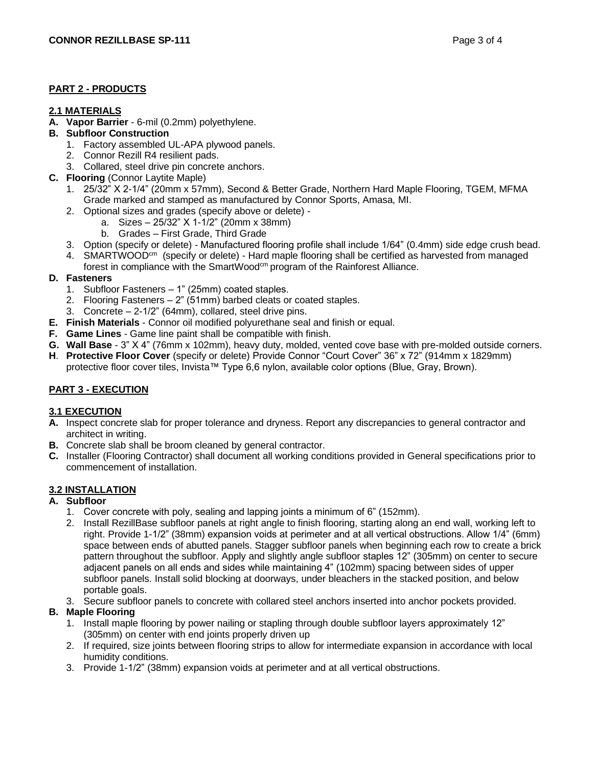# **PART 2 - PRODUCTS**

#### **2.1 MATERIALS**

**A. Vapor Barrier** - 6-mil (0.2mm) polyethylene.

#### **B. Subfloor Construction**

- 1. Factory assembled UL-APA plywood panels.
- 2. Connor Rezill R4 resilient pads.
- 3. Collared, steel drive pin concrete anchors.
- **C. Flooring** (Connor Laytite Maple)
	- 1. 25/32" X 2-1/4" (20mm x 57mm), Second & Better Grade, Northern Hard Maple Flooring, TGEM, MFMA Grade marked and stamped as manufactured by Connor Sports, Amasa, MI.
	- 2. Optional sizes and grades (specify above or delete)
		- a. Sizes 25/32" X 1-1/2" (20mm x 38mm)
			- b. Grades First Grade, Third Grade
	- 3. Option (specify or delete) Manufactured flooring profile shall include 1/64" (0.4mm) side edge crush bead.
	- 4. SMARTWOOD<sup>cm</sup> (specify or delete) Hard maple flooring shall be certified as harvested from managed forest in compliance with the SmartWood<sup>cm</sup> program of the Rainforest Alliance.

#### **D. Fasteners**

- 1. Subfloor Fasteners 1" (25mm) coated staples.
- 2. Flooring Fasteners 2" (51mm) barbed cleats or coated staples.
- 3. Concrete 2-1/2" (64mm), collared, steel drive pins.
- **E. Finish Materials**  Connor oil modified polyurethane seal and finish or equal.
- **F. Game Lines**  Game line paint shall be compatible with finish.
- **G. Wall Base**  3" X 4" (76mm x 102mm), heavy duty, molded, vented cove base with pre-molded outside corners.
- **H**. **Protective Floor Cover** (specify or delete) Provide Connor "Court Cover" 36" x 72" (914mm x 1829mm) protective floor cover tiles, Invista™ Type 6,6 nylon, available color options (Blue, Gray, Brown).

## **PART 3 - EXECUTION**

#### **3.1 EXECUTION**

- **A.** Inspect concrete slab for proper tolerance and dryness. Report any discrepancies to general contractor and architect in writing.
- **B.** Concrete slab shall be broom cleaned by general contractor.
- **C.** Installer (Flooring Contractor) shall document all working conditions provided in General specifications prior to commencement of installation.

## **3.2 INSTALLATION**

# **A. Subfloor**

- 1. Cover concrete with poly, sealing and lapping joints a minimum of 6" (152mm).
- 2. Install RezillBase subfloor panels at right angle to finish flooring, starting along an end wall, working left to right. Provide 1-1/2" (38mm) expansion voids at perimeter and at all vertical obstructions. Allow 1/4" (6mm) space between ends of abutted panels. Stagger subfloor panels when beginning each row to create a brick pattern throughout the subfloor. Apply and slightly angle subfloor staples 12" (305mm) on center to secure adjacent panels on all ends and sides while maintaining 4" (102mm) spacing between sides of upper subfloor panels. Install solid blocking at doorways, under bleachers in the stacked position, and below portable goals.
- 3. Secure subfloor panels to concrete with collared steel anchors inserted into anchor pockets provided.

## **B. Maple Flooring**

- 1. Install maple flooring by power nailing or stapling through double subfloor layers approximately 12" (305mm) on center with end joints properly driven up
- 2. If required, size joints between flooring strips to allow for intermediate expansion in accordance with local humidity conditions.
- 3. Provide 1-1/2" (38mm) expansion voids at perimeter and at all vertical obstructions.